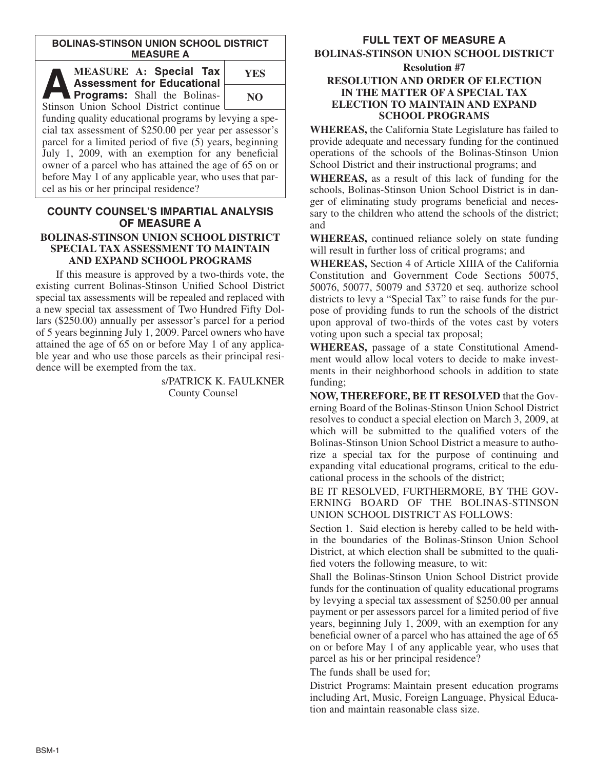#### **BOLINAS-STINSON UNION SCHOOL DISTRICT MEASURE A**

**AB MEASURE A: Special Tax**<br> **Assessment for Educational Programs:** Shall the Bolinas-<br>
Stinson Union School District continues **Assessment for Educational** Stinson Union School District continue

**YES NO**

funding quality educational programs by levying a special tax assessment of \$250.00 per year per assessor's parcel for a limited period of five (5) years, beginning July 1, 2009, with an exemption for any beneficial owner of a parcel who has attained the age of 65 on or before May 1 of any applicable year, who uses that parcel as his or her principal residence?

#### **COUNTY COUNSEL'S IMPARTIAL ANALYSIS OF MEASURE A BOLINAS-STINSON UNION SCHOOL DISTRICT SPECIAL TAX ASSESSMENT TO MAINTAIN AND EXPAND SCHOOL PROGRAMS**

If this measure is approved by a two-thirds vote, the existing current Bolinas-Stinson Unified School District special tax assessments will be repealed and replaced with a new special tax assessment of Two Hundred Fifty Dollars (\$250.00) annually per assessor's parcel for a period of 5 years beginning July 1, 2009. Parcel owners who have attained the age of 65 on or before May 1 of any applicable year and who use those parcels as their principal residence will be exempted from the tax.

> s/PATRICK K. FAULKNER County Counsel

# **FULL TEXT OF MEASURE A**

**BOLINAS-STINSON UNION SCHOOL DISTRICT Resolution #7**

### **RESOLUTION AND ORDER OF ELECTION IN THE MATTER OF A SPECIAL TAX ELECTION TO MAINTAIN AND EXPAND SCHOOL PROGRAMS**

**WHEREAS,** the California State Legislature has failed to provide adequate and necessary funding for the continued operations of the schools of the Bolinas-Stinson Union School District and their instructional programs; and

**WHEREAS,** as a result of this lack of funding for the schools, Bolinas-Stinson Union School District is in danger of eliminating study programs beneficial and necessary to the children who attend the schools of the district; and

**WHEREAS,** continued reliance solely on state funding will result in further loss of critical programs; and

**WHEREAS,** Section 4 of Article XIIIA of the California Constitution and Government Code Sections 50075, 50076, 50077, 50079 and 53720 et seq. authorize school districts to levy a "Special Tax" to raise funds for the purpose of providing funds to run the schools of the district upon approval of two-thirds of the votes cast by voters voting upon such a special tax proposal;

**WHEREAS,** passage of a state Constitutional Amendment would allow local voters to decide to make investments in their neighborhood schools in addition to state funding;

**NOW, THEREFORE, BE IT RESOLVED** that the Governing Board of the Bolinas-Stinson Union School District resolves to conduct a special election on March 3, 2009, at which will be submitted to the qualified voters of the Bolinas-Stinson Union School District a measure to authorize a special tax for the purpose of continuing and expanding vital educational programs, critical to the educational process in the schools of the district;

BE IT RESOLVED, FURTHERMORE, BY THE GOV-ERNING BOARD OF THE BOLINAS-STINSON UNION SCHOOL DISTRICT AS FOLLOWS:

Section 1. Said election is hereby called to be held within the boundaries of the Bolinas-Stinson Union School District, at which election shall be submitted to the qualified voters the following measure, to wit:

Shall the Bolinas-Stinson Union School District provide funds for the continuation of quality educational programs by levying a special tax assessment of \$250.00 per annual payment or per assessors parcel for a limited period of five years, beginning July 1, 2009, with an exemption for any beneficial owner of a parcel who has attained the age of 65 on or before May 1 of any applicable year, who uses that parcel as his or her principal residence?

The funds shall be used for;

District Programs: Maintain present education programs including Art, Music, Foreign Language, Physical Education and maintain reasonable class size.